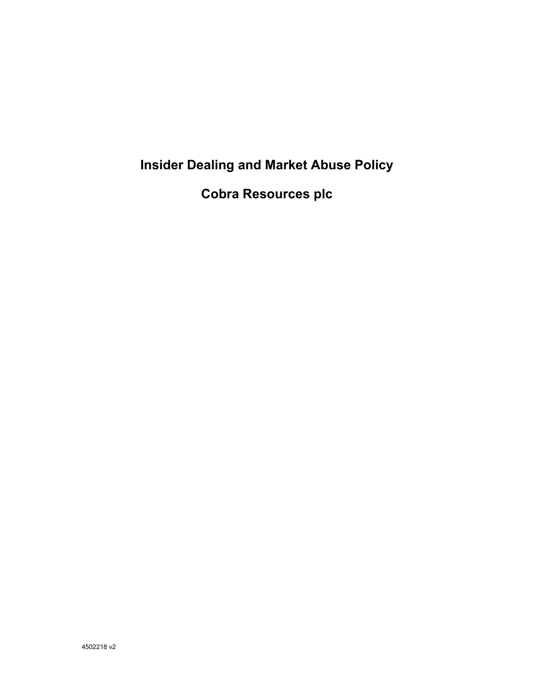# **Insider Dealing and Market Abuse Policy**

**Cobra Resources plc**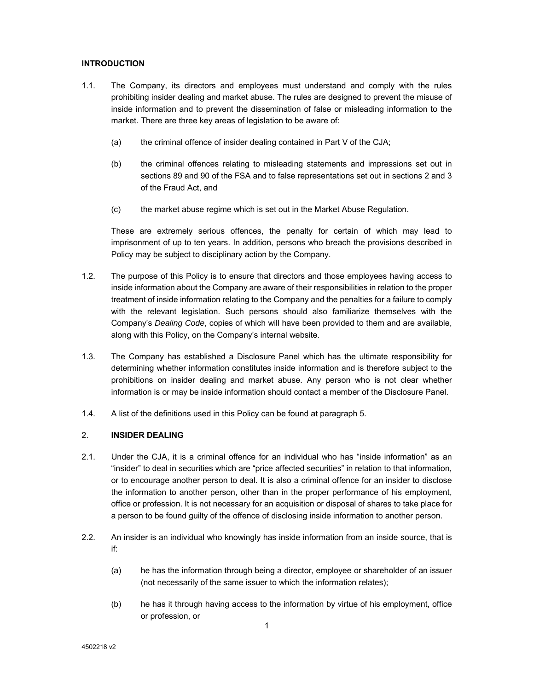## **INTRODUCTION**

- 1.1. The Company, its directors and employees must understand and comply with the rules prohibiting insider dealing and market abuse. The rules are designed to prevent the misuse of inside information and to prevent the dissemination of false or misleading information to the market. There are three key areas of legislation to be aware of:
	- (a) the criminal offence of insider dealing contained in Part V of the CJA;
	- (b) the criminal offences relating to misleading statements and impressions set out in sections 89 and 90 of the FSA and to false representations set out in sections 2 and 3 of the Fraud Act, and
	- (c) the market abuse regime which is set out in the Market Abuse Regulation.

These are extremely serious offences, the penalty for certain of which may lead to imprisonment of up to ten years. In addition, persons who breach the provisions described in Policy may be subject to disciplinary action by the Company.

- 1.2. The purpose of this Policy is to ensure that directors and those employees having access to inside information about the Company are aware of their responsibilities in relation to the proper treatment of inside information relating to the Company and the penalties for a failure to comply with the relevant legislation. Such persons should also familiarize themselves with the Company's *Dealing Code*, copies of which will have been provided to them and are available, along with this Policy, on the Company's internal website.
- 1.3. The Company has established a Disclosure Panel which has the ultimate responsibility for determining whether information constitutes inside information and is therefore subject to the prohibitions on insider dealing and market abuse. Any person who is not clear whether information is or may be inside information should contact a member of the Disclosure Panel.
- 1.4. A list of the definitions used in this Policy can be found at paragraph 5.

#### 2. **INSIDER DEALING**

- 2.1. Under the CJA, it is a criminal offence for an individual who has "inside information" as an "insider" to deal in securities which are "price affected securities" in relation to that information, or to encourage another person to deal. It is also a criminal offence for an insider to disclose the information to another person, other than in the proper performance of his employment, office or profession. It is not necessary for an acquisition or disposal of shares to take place for a person to be found guilty of the offence of disclosing inside information to another person.
- 2.2. An insider is an individual who knowingly has inside information from an inside source, that is if:
	- (a) he has the information through being a director, employee or shareholder of an issuer (not necessarily of the same issuer to which the information relates);
	- (b) he has it through having access to the information by virtue of his employment, office or profession, or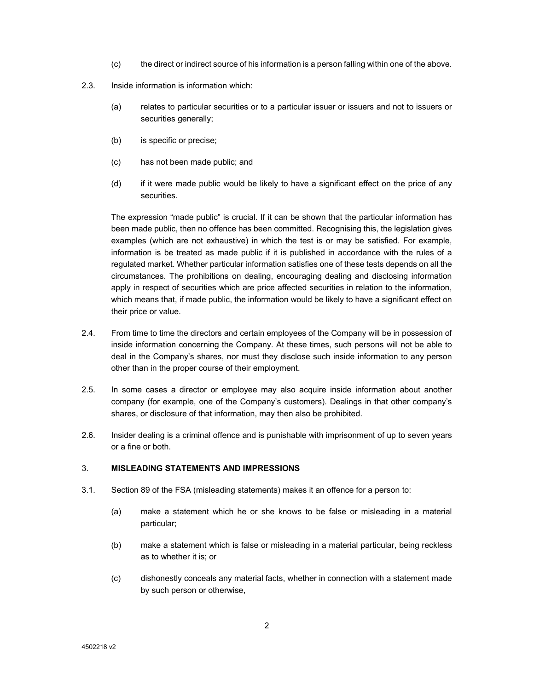- (c) the direct or indirect source of his information is a person falling within one of the above.
- 2.3. Inside information is information which:
	- (a) relates to particular securities or to a particular issuer or issuers and not to issuers or securities generally;
	- (b) is specific or precise;
	- (c) has not been made public; and
	- (d) if it were made public would be likely to have a significant effect on the price of any securities.

The expression "made public" is crucial. If it can be shown that the particular information has been made public, then no offence has been committed. Recognising this, the legislation gives examples (which are not exhaustive) in which the test is or may be satisfied. For example, information is be treated as made public if it is published in accordance with the rules of a regulated market. Whether particular information satisfies one of these tests depends on all the circumstances. The prohibitions on dealing, encouraging dealing and disclosing information apply in respect of securities which are price affected securities in relation to the information, which means that, if made public, the information would be likely to have a significant effect on their price or value.

- 2.4. From time to time the directors and certain employees of the Company will be in possession of inside information concerning the Company. At these times, such persons will not be able to deal in the Company's shares, nor must they disclose such inside information to any person other than in the proper course of their employment.
- 2.5. In some cases a director or employee may also acquire inside information about another company (for example, one of the Company's customers). Dealings in that other company's shares, or disclosure of that information, may then also be prohibited.
- 2.6. Insider dealing is a criminal offence and is punishable with imprisonment of up to seven years or a fine or both.

#### 3. **MISLEADING STATEMENTS AND IMPRESSIONS**

- 3.1. Section 89 of the FSA (misleading statements) makes it an offence for a person to:
	- (a) make a statement which he or she knows to be false or misleading in a material particular;
	- (b) make a statement which is false or misleading in a material particular, being reckless as to whether it is; or
	- (c) dishonestly conceals any material facts, whether in connection with a statement made by such person or otherwise,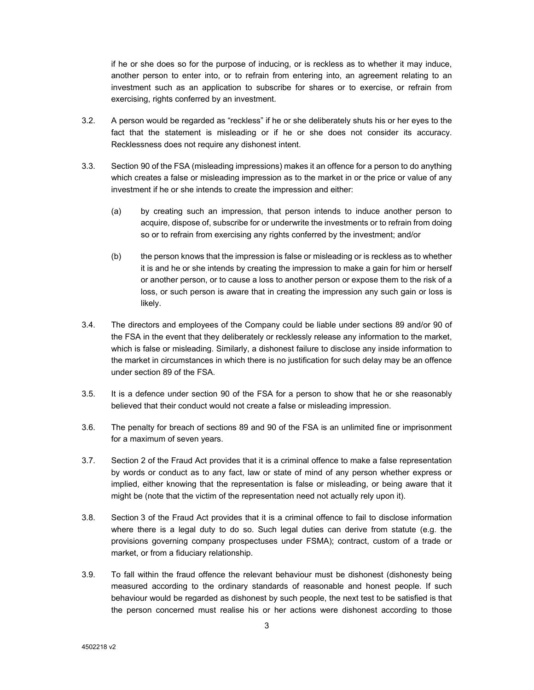if he or she does so for the purpose of inducing, or is reckless as to whether it may induce, another person to enter into, or to refrain from entering into, an agreement relating to an investment such as an application to subscribe for shares or to exercise, or refrain from exercising, rights conferred by an investment.

- 3.2. A person would be regarded as "reckless" if he or she deliberately shuts his or her eyes to the fact that the statement is misleading or if he or she does not consider its accuracy. Recklessness does not require any dishonest intent.
- 3.3. Section 90 of the FSA (misleading impressions) makes it an offence for a person to do anything which creates a false or misleading impression as to the market in or the price or value of any investment if he or she intends to create the impression and either:
	- (a) by creating such an impression, that person intends to induce another person to acquire, dispose of, subscribe for or underwrite the investments or to refrain from doing so or to refrain from exercising any rights conferred by the investment; and/or
	- (b) the person knows that the impression is false or misleading or is reckless as to whether it is and he or she intends by creating the impression to make a gain for him or herself or another person, or to cause a loss to another person or expose them to the risk of a loss, or such person is aware that in creating the impression any such gain or loss is likely.
- 3.4. The directors and employees of the Company could be liable under sections 89 and/or 90 of the FSA in the event that they deliberately or recklessly release any information to the market, which is false or misleading. Similarly, a dishonest failure to disclose any inside information to the market in circumstances in which there is no justification for such delay may be an offence under section 89 of the FSA.
- 3.5. It is a defence under section 90 of the FSA for a person to show that he or she reasonably believed that their conduct would not create a false or misleading impression.
- 3.6. The penalty for breach of sections 89 and 90 of the FSA is an unlimited fine or imprisonment for a maximum of seven years.
- 3.7. Section 2 of the Fraud Act provides that it is a criminal offence to make a false representation by words or conduct as to any fact, law or state of mind of any person whether express or implied, either knowing that the representation is false or misleading, or being aware that it might be (note that the victim of the representation need not actually rely upon it).
- 3.8. Section 3 of the Fraud Act provides that it is a criminal offence to fail to disclose information where there is a legal duty to do so. Such legal duties can derive from statute (e.g. the provisions governing company prospectuses under FSMA); contract, custom of a trade or market, or from a fiduciary relationship.
- 3.9. To fall within the fraud offence the relevant behaviour must be dishonest (dishonesty being measured according to the ordinary standards of reasonable and honest people. If such behaviour would be regarded as dishonest by such people, the next test to be satisfied is that the person concerned must realise his or her actions were dishonest according to those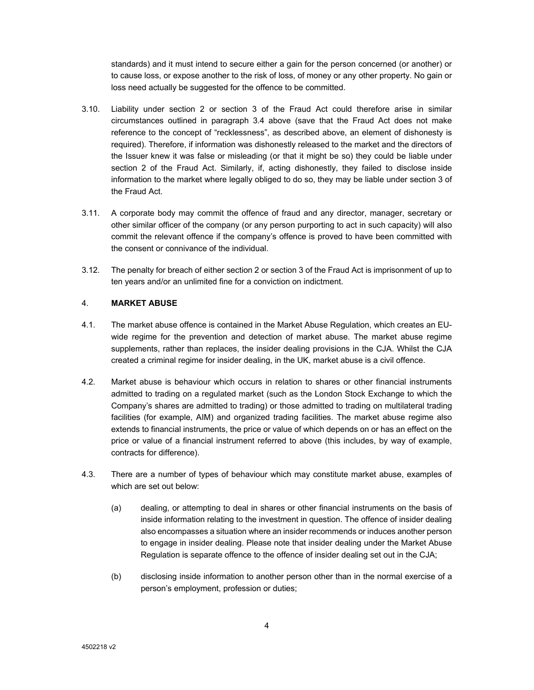standards) and it must intend to secure either a gain for the person concerned (or another) or to cause loss, or expose another to the risk of loss, of money or any other property. No gain or loss need actually be suggested for the offence to be committed.

- 3.10. Liability under section 2 or section 3 of the Fraud Act could therefore arise in similar circumstances outlined in paragraph 3.4 above (save that the Fraud Act does not make reference to the concept of "recklessness", as described above, an element of dishonesty is required). Therefore, if information was dishonestly released to the market and the directors of the Issuer knew it was false or misleading (or that it might be so) they could be liable under section 2 of the Fraud Act. Similarly, if, acting dishonestly, they failed to disclose inside information to the market where legally obliged to do so, they may be liable under section 3 of the Fraud Act.
- 3.11. A corporate body may commit the offence of fraud and any director, manager, secretary or other similar officer of the company (or any person purporting to act in such capacity) will also commit the relevant offence if the company's offence is proved to have been committed with the consent or connivance of the individual.
- 3.12. The penalty for breach of either section 2 or section 3 of the Fraud Act is imprisonment of up to ten years and/or an unlimited fine for a conviction on indictment.

## 4. **MARKET ABUSE**

- 4.1. The market abuse offence is contained in the Market Abuse Regulation, which creates an EUwide regime for the prevention and detection of market abuse. The market abuse regime supplements, rather than replaces, the insider dealing provisions in the CJA. Whilst the CJA created a criminal regime for insider dealing, in the UK, market abuse is a civil offence.
- 4.2. Market abuse is behaviour which occurs in relation to shares or other financial instruments admitted to trading on a regulated market (such as the London Stock Exchange to which the Company's shares are admitted to trading) or those admitted to trading on multilateral trading facilities (for example, AIM) and organized trading facilities. The market abuse regime also extends to financial instruments, the price or value of which depends on or has an effect on the price or value of a financial instrument referred to above (this includes, by way of example, contracts for difference).
- 4.3. There are a number of types of behaviour which may constitute market abuse, examples of which are set out below:
	- (a) dealing, or attempting to deal in shares or other financial instruments on the basis of inside information relating to the investment in question. The offence of insider dealing also encompasses a situation where an insider recommends or induces another person to engage in insider dealing. Please note that insider dealing under the Market Abuse Regulation is separate offence to the offence of insider dealing set out in the CJA;
	- (b) disclosing inside information to another person other than in the normal exercise of a person's employment, profession or duties;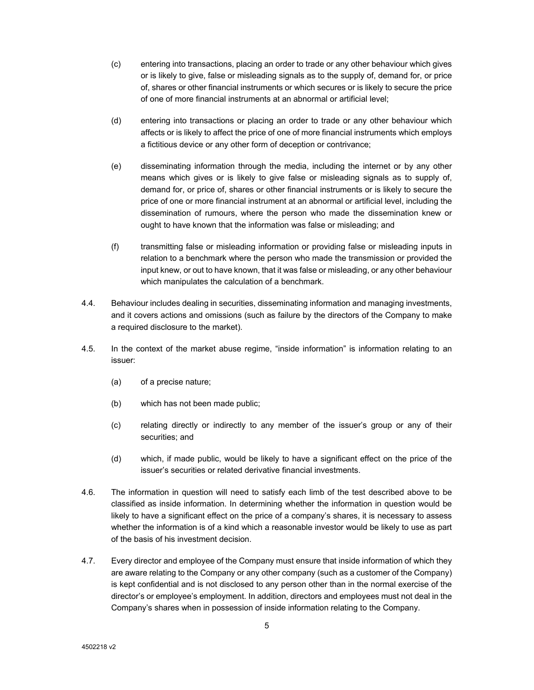- (c) entering into transactions, placing an order to trade or any other behaviour which gives or is likely to give, false or misleading signals as to the supply of, demand for, or price of, shares or other financial instruments or which secures or is likely to secure the price of one of more financial instruments at an abnormal or artificial level;
- (d) entering into transactions or placing an order to trade or any other behaviour which affects or is likely to affect the price of one of more financial instruments which employs a fictitious device or any other form of deception or contrivance;
- (e) disseminating information through the media, including the internet or by any other means which gives or is likely to give false or misleading signals as to supply of, demand for, or price of, shares or other financial instruments or is likely to secure the price of one or more financial instrument at an abnormal or artificial level, including the dissemination of rumours, where the person who made the dissemination knew or ought to have known that the information was false or misleading; and
- (f) transmitting false or misleading information or providing false or misleading inputs in relation to a benchmark where the person who made the transmission or provided the input knew, or out to have known, that it was false or misleading, or any other behaviour which manipulates the calculation of a benchmark.
- 4.4. Behaviour includes dealing in securities, disseminating information and managing investments, and it covers actions and omissions (such as failure by the directors of the Company to make a required disclosure to the market).
- 4.5. In the context of the market abuse regime, "inside information" is information relating to an issuer:
	- (a) of a precise nature;
	- (b) which has not been made public;
	- (c) relating directly or indirectly to any member of the issuer's group or any of their securities; and
	- (d) which, if made public, would be likely to have a significant effect on the price of the issuer's securities or related derivative financial investments.
- 4.6. The information in question will need to satisfy each limb of the test described above to be classified as inside information. In determining whether the information in question would be likely to have a significant effect on the price of a company's shares, it is necessary to assess whether the information is of a kind which a reasonable investor would be likely to use as part of the basis of his investment decision.
- 4.7. Every director and employee of the Company must ensure that inside information of which they are aware relating to the Company or any other company (such as a customer of the Company) is kept confidential and is not disclosed to any person other than in the normal exercise of the director's or employee's employment. In addition, directors and employees must not deal in the Company's shares when in possession of inside information relating to the Company.